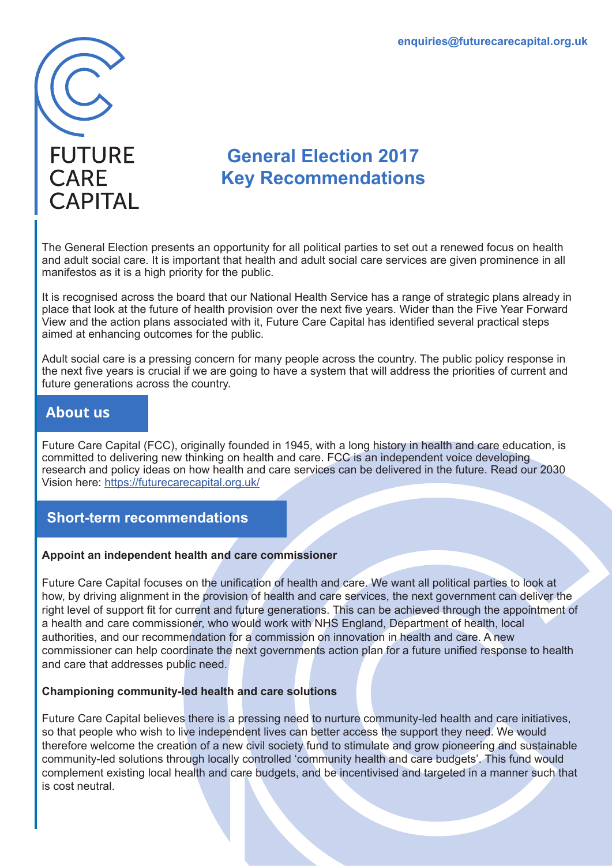

# **General Election 2017 Key Recommendations**

The General Election presents an opportunity for all political parties to set out a renewed focus on health and adult social care. It is important that health and adult social care services are given prominence in all manifestos as it is a high priority for the public.

It is recognised across the board that our National Health Service has a range of strategic plans already in place that look at the future of health provision over the next five years. Wider than the Five Year Forward View and the action plans associated with it, Future Care Capital has identified several practical steps aimed at enhancing outcomes for the public.

Adult social care is a pressing concern for many people across the country. The public policy response in the next five years is crucial if we are going to have a system that will address the priorities of current and future generations across the country.

# **About us**

Future Care Capital (FCC), originally founded in 1945, with a long history in health and care education, is committed to delivering new thinking on health and care. FCC is an independent voice developing research and policy ideas on how health and care services can be delivered in the future. Read our 2030 Vision here: https://futurecarecapital.org.uk/

# **Short-term recommendations**

### **Appoint an independent health and care commissioner**

Future Care Capital focuses on the unification of health and care. We want all political parties to look at how, by driving alignment in the provision of health and care services, the next government can deliver the right level of support fit for current and future generations. This can be achieved through the appointment of a health and care commissioner, who would work with NHS England, Department of health, local authorities, and our recommendation for a commission on innovation in health and care. A new commissioner can help coordinate the next governments action plan for a future unified response to health and care that addresses public need.

### **Championing community-led health and care solutions**

Future Care Capital believes there is a pressing need to nurture community-led health and care initiatives, so that people who wish to live independent lives can better access the support they need. We would therefore welcome the creation of a new civil society fund to stimulate and grow pioneering and sustainable community-led solutions through locally controlled 'community health and care budgets'. This fund would complement existing local health and care budgets, and be incentivised and targeted in a manner such that is cost neutral.